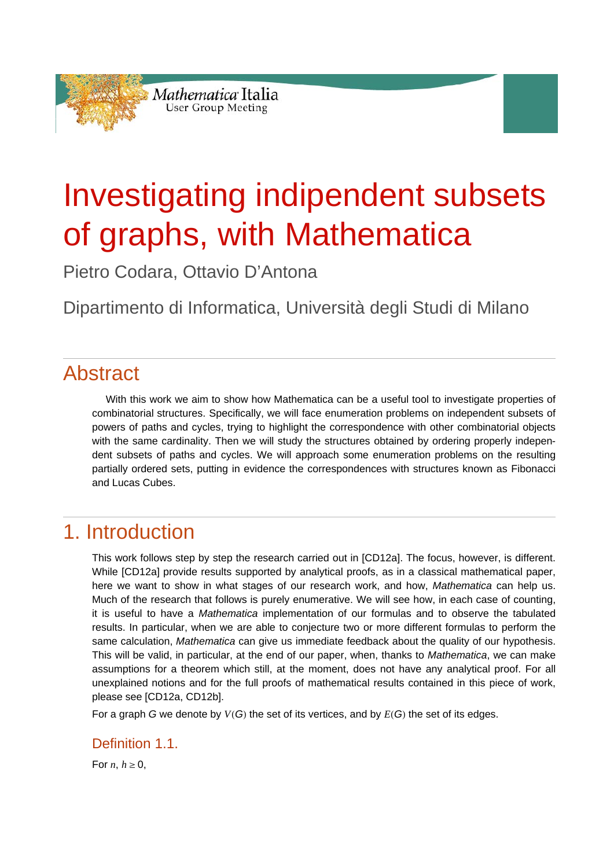

# Investigating indipendent subsets of graphs, with Mathematica

Pietro Codara, Ottavio D'Antona

Dipartimento di Informatica, Università degli Studi di Milano

# Abstract

 With this work we aim to show how Mathematica can be a useful tool to investigate properties of combinatorial structures. Specifically, we will face enumeration problems on independent subsets of powers of paths and cycles, trying to highlight the correspondence with other combinatorial objects with the same cardinality. Then we will study the structures obtained by ordering properly independent subsets of paths and cycles. We will approach some enumeration problems on the resulting partially ordered sets, putting in evidence the correspondences with structures known as Fibonacci and Lucas Cubes.

# 1. Introduction

This work follows step by step the research carried out in [CD12a]. The focus, however, is different. While [CD12a] provide results supported by analytical proofs, as in a classical mathematical paper, here we want to show in what stages of our research work, and how, *Mathematica* can help us. Much of the research that follows is purely enumerative. We will see how, in each case of counting, it is useful to have a *Mathematica* implementation of our formulas and to observe the tabulated results. In particular, when we are able to conjecture two or more different formulas to perform the same calculation, *Mathematica* can give us immediate feedback about the quality of our hypothesis. This will be valid, in particular, at the end of our paper, when, thanks to *Mathematica*, we can make assumptions for a theorem which still, at the moment, does not have any analytical proof. For all unexplained notions and for the full proofs of mathematical results contained in this piece of work, please see [CD12a, CD12b].

For a graph *G* we denote by  $V(G)$  the set of its vertices, and by  $E(G)$  the set of its edges.

#### Definition 1.1

For *n*,  $h \geq 0$ ,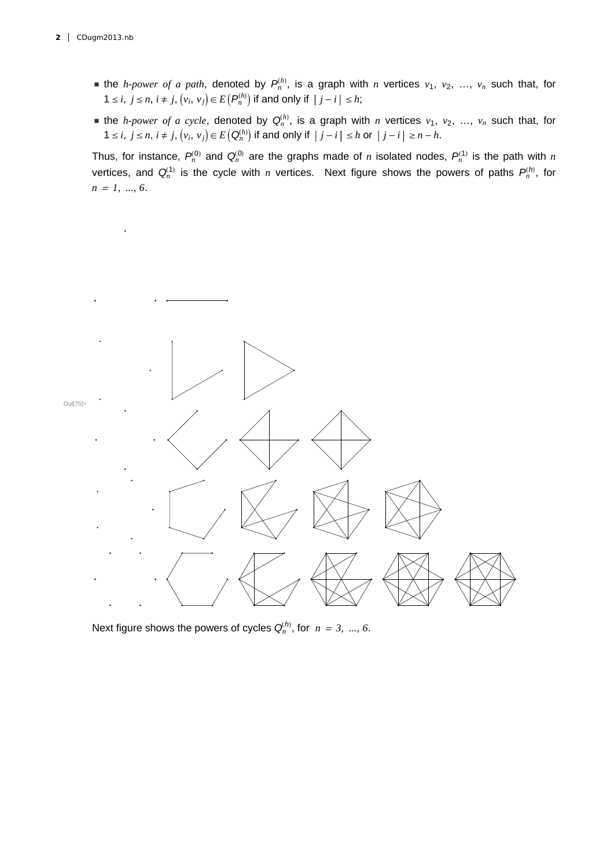- If the *h-power of a path*, denoted by  $P_n^{(h)}$ , is a graph with *n* vertices  $v_1, v_2, ..., v_n$  such that, for  $1 \le i, j \le n, i \ne j, (v_i, v_j) \in E(P_n^{(h)})$  if and only if  $|j - i| \le h;$
- If the *h-power of a cycle*, denoted by  $Q_n^{(h)}$ , is a graph with *n* vertices  $v_1, v_2, ..., v_n$  such that, for  $1 \le i, j \le n, i \ne j, (v_i, v_j) \in E(Q_n^{(h)})$  if and only if  $|j - i| \le h$  or  $|j - i| \ge n - h$ .

Thus, for instance,  $P_n^{(0)}$  and  $Q_n^{(0)}$  are the graphs made of *n* isolated nodes,  $P_n^{(1)}$  is the path with *n* vertices, and  $Q_n^{(1)}$  is the cycle with *n* vertices. Next figure shows the powers of paths  $P_n^{(h)}$ , for *n* <sup>=</sup> *1, ..., 6*.



Next figure shows the powers of cycles  $Q_n^{(h)}$ , for  $n = 3, ..., 6$ .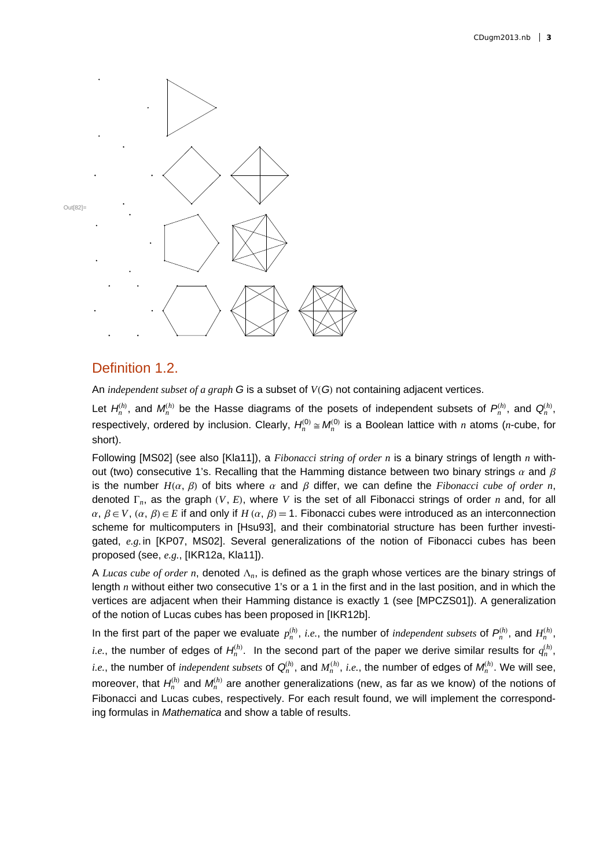

#### Definition 1.2.

An *independent subset of a graph G* is a subset of *VG* not containing adjacent vertices.

Let  $H_n^{(h)}$ , and  $M_n^{(h)}$  be the Hasse diagrams of the posets of independent subsets of  $P_n^{(h)}$ , and  $Q_n^{(h)}$ , respectively, ordered by inclusion. Clearly,  $H_n^{(0)} \cong M_n^{(0)}$  is a Boolean lattice with *n* atoms (*n*-cube, for short).

Following [MS02] (see also [Kla11]), a *Fibonacci string of order n* is a binary strings of length *n* without (two) consecutive 1's. Recalling that the Hamming distance between two binary strings  $\alpha$  and  $\beta$ is the number  $H(\alpha, \beta)$  of bits where  $\alpha$  and  $\beta$  differ, we can define the *Fibonacci cube of order n*, denoted  $\Gamma_n$ , as the graph  $(V, E)$ , where V is the set of all Fibonacci strings of order *n* and, for all  $\alpha, \beta \in V$ ,  $(\alpha, \beta) \in E$  if and only if  $H(\alpha, \beta) = 1$ . Fibonacci cubes were introduced as an interconnection scheme for multicomputers in [Hsu93], and their combinatorial structure has been further investigated, *e.g.* in [KP07, MS02]. Several generalizations of the notion of Fibonacci cubes has been proposed (see, *e.g.*, [IKR12a, Kla11]).

A *Lucas cube of order n*, denoted  $\Lambda_n$ , is defined as the graph whose vertices are the binary strings of length *n* without either two consecutive 1's or a 1 in the first and in the last position, and in which the vertices are adjacent when their Hamming distance is exactly 1 (see [MPCZS01]). A generalization of the notion of Lucas cubes has been proposed in [IKR12b].

In the first part of the paper we evaluate  $p_n^{(h)}$ , *i.e.*, the number of *independent subsets* of  $P_n^{(h)}$ , and  $H_n^{(h)}$ , *i.e.*, the number of edges of  $H_n^{(h)}$ . In the second part of the paper we derive similar results for  $q_n^{(h)}$ , *i.e.*, the number of *independent subsets* of  $Q_n^{(h)}$ , and  $M_n^{(h)}$ , *i.e.*, the number of edges of  $M_n^{(h)}$ . We will see, moreover, that  $H_n^{(h)}$  and  $M_n^{(h)}$  are another generalizations (new, as far as we know) of the notions of Fibonacci and Lucas cubes, respectively. For each result found, we will implement the corresponding formulas in *Mathematica* and show a table of results.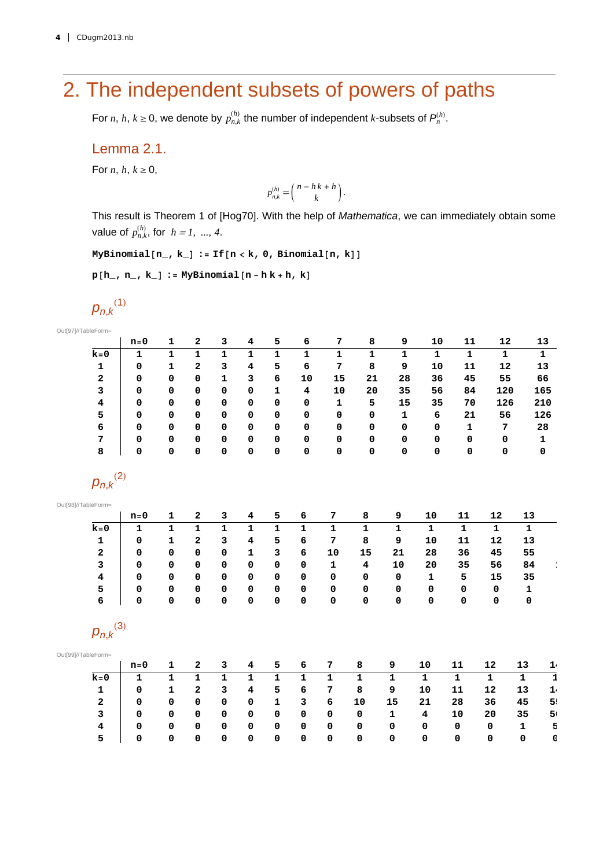# 2. The independent subsets of powers of paths

For *n*, *h*,  $k \ge 0$ , we denote by  $p_{n,k}^{(h)}$  the number of independent *k*-subsets of  $P_n^{(h)}$ .

#### Lemma 2.1.

For *n*,  $h, k \ge 0$ ,

$$
p_{n,k}^{(h)} = \binom{n-h\,k+h}{k}.
$$

This result is Theorem 1 of [Hog70]. With the help of *Mathematica*, we can immediately obtain some value of  $p_{n,k}^{(h)}$ , for  $h = 1, ..., 4$ .

 $MyBinomial[n, k] := If[n < k, 0, Binomial[n, k])$ 

 $p[h_1, n_2, k_$  **: MyBinomial** $[n - h k + h, k]$ 

$$
p_{n,k}^{(1)}
$$

Out[97]//TableForm=

|                     | $n = 0$     | 1            | 2              | 3            | 4                       | 5           | 6            | 7            | 8           | 9            | ${\bf 10}$  | 11          | 12          |              | 13                 |
|---------------------|-------------|--------------|----------------|--------------|-------------------------|-------------|--------------|--------------|-------------|--------------|-------------|-------------|-------------|--------------|--------------------|
| $k=0$               | 1           | $\mathbf{1}$ | $\mathbf 1$    | 1            | 1                       | $\mathbf 1$ | $\mathbf{1}$ | $\mathbf 1$  | $\mathbf 1$ | $\mathbf 1$  | $\mathbf 1$ | $\mathbf 1$ | ${\bf 1}$   |              | $\mathbf 1$        |
| 1                   | 0           | 1            | 2              | 3            | 4                       | 5           | 6            | 7            | 8           | 9            | 10          | 11          | 12          |              | 13                 |
| $\mathbf 2$         | 0           | 0            | 0              | $\mathbf{1}$ | 3                       | 6           | 10           | 15           | 21          | 28           | 36          | 45          | 55          |              | 66                 |
| 3                   | 0           | 0            | $\mathbf 0$    | 0            | 0                       | $\mathbf 1$ | 4            | 10           | 20          | 35           | 56          | 84          | 120         |              | 165                |
| 4                   | 0           | 0            | $\mathbf 0$    | 0            | 0                       | 0           | 0            | 1            | 5           | 15           | 35          | 70          | 126         |              | 210                |
| 5                   | 0           | 0            | 0              | 0            | 0                       | 0           | 0            | 0            | 0           | $\mathbf 1$  | 6           | 21          | 56          |              | 126                |
| 6                   | 0           | 0            | 0              | $\mathbf 0$  | 0                       | 0           | 0            | 0            | 0           | 0            | 0           | 1           | 7           |              | 28                 |
| 7                   | 0           | 0            | 0              | 0            | 0                       | 0           | 0            | 0            | 0           | 0            | 0           | 0           | 0           |              | 1                  |
| 8                   | 0           | 0            | 0              | 0            | 0                       | 0           | 0            | 0            | 0           | 0            | 0           | 0           | 0           |              | 0                  |
| $p_{n,k}^{(2)}$     |             |              |                |              |                         |             |              |              |             |              |             |             |             |              |                    |
| Out[98]//TableForm= |             |              |                |              |                         |             |              |              |             |              |             |             |             |              |                    |
|                     | $n=0$       | $\mathbf{1}$ | $\mathbf{2}$   | 3            | 4                       | 5           | 6            | 7            | 8           | 9            | 10          | 11          | 12          | 13           |                    |
| $k=0$               | 1           | $\mathbf 1$  | $\mathbf 1$    | $\mathbf 1$  | 1                       | $\mathbf 1$ | $\mathbf 1$  | 1            | $\mathbf 1$ | $\mathbf 1$  | $\mathbf 1$ | 1           | $\mathbf 1$ | $\mathbf 1$  |                    |
| 1                   | 0           | 1            | $\overline{a}$ | 3            | 4                       | 5           | 6            | 7            | 8           | 9            | 10          | 11          | 12          | 13           |                    |
| 2                   | 0           | 0            | 0              | 0            | 1                       | 3           | 6            | 10           | 15          | 21           | 28          | 36          | 45          | 55           |                    |
| 3                   | 0           | 0            | 0              | 0            | 0                       | 0           | 0            | 1            | 4           | 10           | 20          | 35          | 56          | 84           |                    |
| 4                   | 0           | 0            | $\Omega$       | 0            | 0                       | 0           | 0            | 0            | 0           | 0            | $\mathbf 1$ | 5           | 15          | 35           |                    |
| 5                   | 0           | 0            | 0              | 0            | 0                       | 0           | 0            | 0            | 0           | 0            | 0           | 0           | $\mathbf 0$ | 1            |                    |
| 6                   | 0           | 0            | 0              | 0            | 0                       | 0           | 0            | 0            | 0           | 0            | 0           | $\mathbf 0$ | 0           | 0            |                    |
| $p_{n,k}^{(3)}$     |             |              |                |              |                         |             |              |              |             |              |             |             |             |              |                    |
| Out[99]//TableForm= |             |              |                |              |                         |             |              |              |             |              |             |             |             |              |                    |
|                     | $n=0$       | 1            | $\bf{2}$       | 3            | 4                       | 5           | 6            | 7            | 8           | 9            | 10          | 11          | 12          | 13           | $\frac{1}{1}$      |
| $k=0$               | $\mathbf 1$ | $\mathbf{1}$ | $\mathbf 1$    | $\mathbf{1}$ | $\mathbf{1}$            | $\mathbf 1$ | $\mathbf{1}$ | $\mathbf{1}$ | $\mathbf 1$ | $\mathbf{1}$ | $\mathbf 1$ | $\mathbf 1$ | $\mathbf 1$ | $\mathbf{1}$ |                    |
| 1                   | 0           | $\mathbf{1}$ | $\overline{a}$ | 3            | $\overline{\mathbf{4}}$ | 5           | 6            | 7            | 8           | 9            | 10          | 11          | 12          | 13           | $\mathbf{1} \cdot$ |
| 2                   | 0           | 0            | 0              | 0            | 0                       | 1           | 3            | 6            | 10          | 15           | 21          | 28          | 36          | 45           | 5!                 |
| 3                   | 0           | 0            | 0              | 0            | 0                       | 0           | 0            | 0            | 0           | 1            | 4           | 10          | 20          | 35           | 5 <sub>1</sub>     |
| 4                   | 0           | 0            | 0              | 0            | 0                       | 0           | 0            | 0            | 0           | 0            | 0           | 0           | 0           | $\mathbf 1$  | 5                  |
| 5                   | 0           | 0            | 0              | 0            | 0                       | 0           | 0            | 0            | 0           | 0            | 0           | 0           | 0           | $\mathbf 0$  | 0                  |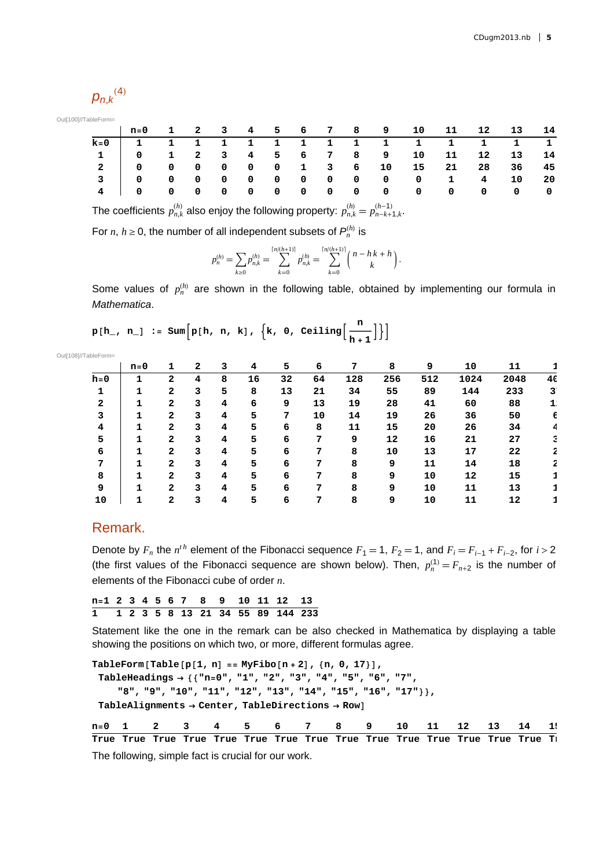$$
{p_{n,k}}^{\left( 4 \right)}
$$

Out[100]//TableForm=

|       |                                                    |  |  |  |  |  | n=0 1 2 3 4 5 6 7 8 9 10 11 12 13 14 |  |
|-------|----------------------------------------------------|--|--|--|--|--|--------------------------------------|--|
| $k=0$ |                                                    |  |  |  |  |  | 1 1 1 1 1 1 1 1 1 1 1 1 1 1 1        |  |
|       | $1$   0 $1$ 2 $3$ 4 $5$ 6 $7$ 8 $9$ 10 11 12 13 14 |  |  |  |  |  |                                      |  |
|       | 2 0 0 0 0 0 0 1 3 6 10 15 21 28 36 45              |  |  |  |  |  |                                      |  |
|       | 3   0 0 0 0 0 0 0 0 0 0 0 0 0 1 0 4 10 20          |  |  |  |  |  |                                      |  |
|       |                                                    |  |  |  |  |  |                                      |  |

The coefficients  $p_{n,k}^{(h)}$  also enjoy the following property:  $p_{n,k}^{(h)} = p_{n-k+1,k}^{(h-1)}$ .

For *n*,  $h \geq 0$ , the number of all independent subsets of  $P_n^{(h)}$  is

$$
p_n^{(h)} = \sum_{k\geq 0} p_{n,k}^{(h)} = \sum_{k=0}^{\lceil n/(h+1)\rceil} p_{n,k}^{(h)} = \sum_{k=0}^{\lceil n/(h+1)\rceil} \binom{n-h\ k+h}{k}.
$$

Some values of  $p_n^{(h)}$  are shown in the following table, obtained by implementing our formula in *Mathematica*.

 $p[h_1, n_1] := \text{Sum}\Big[p[h, n, k], \{k, 0, \text{Ceiling}\Big[\frac{n}{h+1}\Big]\}\Big]$ 

| Out[108]//TableForm= |       |                |   |   |    |    |    |     |     |     |      |      |    |
|----------------------|-------|----------------|---|---|----|----|----|-----|-----|-----|------|------|----|
|                      | $n=0$ | 1              | 2 | 3 | 4  | 5  | 6  | 7   | 8   | 9   | 10   | 11   |    |
| $h = 0$              |       | 2              | 4 | 8 | 16 | 32 | 64 | 128 | 256 | 512 | 1024 | 2048 | 40 |
| 1                    |       | $\overline{2}$ | 3 | 5 | 8  | 13 | 21 | 34  | 55  | 89  | 144  | 233  | 3  |
| 2                    | 1     | 2              | 3 | 4 | 6  | 9  | 13 | 19  | 28  | 41  | 60   | 88   |    |
| 3                    | 1     | 2              | 3 | 4 | 5  | 7  | 10 | 14  | 19  | 26  | 36   | 50   | 6  |
| 4                    | 1     | 2              | 3 | 4 | 5  | 6  | 8  | 11  | 15  | 20  | 26   | 34   | 4  |
| 5                    | 1     | $\overline{2}$ | 3 | 4 | 5  | 6  | 7  | 9   | 12  | 16  | 21   | 27   | з  |
| 6                    | 1     | $\overline{a}$ | 3 | 4 | 5  | 6  | 7  | 8   | 10  | 13  | 17   | 22   | 2  |
| 7                    |       | 2              | 3 | 4 | 5  | 6  | 7  | 8   | 9   | 11  | 14   | 18   | 2  |
| 8                    |       | $\mathbf{2}$   | 3 | 4 | 5  | 6  | 7  | 8   | 9   | 10  | 12   | 15   |    |
| 9                    |       | $\mathbf{2}$   | 3 | 4 | 5  | 6  | 7  | 8   | 9   | 10  | 11   | 13   |    |
| 10                   | 1     | 2              | 3 | 4 | 5  | 6  | 7  | 8   | 9   | 10  | 11   | 12   |    |

#### Remark.

Denote by  $F_n$  the  $n^{th}$  element of the Fibonacci sequence  $F_1 = 1$ ,  $F_2 = 1$ , and  $F_i = F_{i-1} + F_{i-2}$ , for  $i > 2$ (the first values of the Fibonacci sequence are shown below). Then,  $p_n^{(1)} = F_{n+2}$  is the number of elements of the Fibonacci cube of order *n*.

**n1 2 3 4 5 6 7 8 9 10 11 12 13 1 12358 13 21 34 55 89 144 233**

Statement like the one in the remark can be also checked in Mathematica by displaying a table showing the positions on which two, or more, different formulas agree.

 $TableForm[Table[p[1, n] == MyFibo[n + 2], {n, 0, 17}]$ **TableHeadings "n0", "1", "2", "3", "4", "5", "6", "7", "8", "9", "10", "11", "12", "13", "14", "15", "16", "17", TableAlignments Center, TableDirections Row**

**n0 1 2 3 4 5 6 7 8 9 10 11 12 13 14 15 True True True True True True True True True True True True True True True Tr**

The following, simple fact is crucial for our work.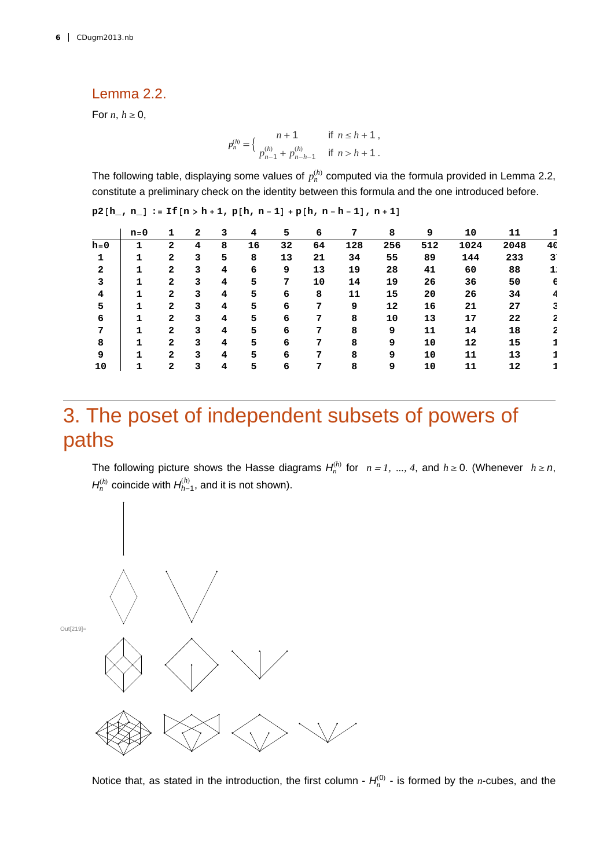#### Lemma 2.2.

For *n*,  $h \geq 0$ ,

$$
p_n^{(h)} = \begin{cases} n+1 & \text{if } n \le h+1, \\ p_{n-1}^{(h)} + p_{n-h-1}^{(h)} & \text{if } n > h+1. \end{cases}
$$

The following table, displaying some values of  $p_n^{(h)}$  computed via the formula provided in Lemma 2.2, constitute a preliminary check on the identity between this formula and the one introduced before.

|         | $n=0$ | 1              | 2 | 3 | 4  | 5  | 6  | 7   | 8   | 9   | 10   | 11   |    |
|---------|-------|----------------|---|---|----|----|----|-----|-----|-----|------|------|----|
| $h = 0$ |       | 2              | 4 | 8 | 16 | 32 | 64 | 128 | 256 | 512 | 1024 | 2048 | 40 |
|         | 1     | $\mathbf{2}$   | 3 | 5 | 8  | 13 | 21 | 34  | 55  | 89  | 144  | 233  | 3  |
| 2       |       | $\mathbf{2}$   | 3 | 4 | 6  | 9  | 13 | 19  | 28  | 41  | 60   | 88   | 1  |
| 3       |       | $\mathbf{2}$   | 3 | 4 | 5  | 7  | 10 | 14  | 19  | 26  | 36   | 50   | 6  |
| 4       | 1     | $\mathbf{2}$   | 3 | 4 | 5  | 6  | 8  | 11  | 15  | 20  | 26   | 34   | 4  |
| 5       |       | $\mathbf{2}$   | 3 | 4 | 5  | 6  | 7  | 9   | 12  | 16  | 21   | 27   | 3  |
| 6       | 1     | $\mathbf{2}$   | 3 | 4 | 5  | 6  | 7  | 8   | 10  | 13  | 17   | 22   | 2  |
| 7       |       | $\mathbf{2}$   | 3 | 4 | 5  | 6  | 7  | 8   | 9   | 11  | 14   | 18   | 2  |
| 8       | 1     | $\overline{2}$ | 3 | 4 | 5  | 6  | 7  | 8   | 9   | 10  | 12   | 15   |    |
| 9       | 1     | $\overline{2}$ | 3 | 4 | 5  | 6  | 7  | 8   | 9   | 10  | 11   | 13   |    |
| 10      | 1     | $\mathbf{2}$   | 3 | 4 | 5  | 6  | 7  | 8   | 9   | 10  | 11   | 12   |    |

 $p^{2}[h, n] := If[n > h + 1, p[h, n - 1] + p[h, n - h - 1], n + 1]$ 

# 3. The poset of independent subsets of powers of paths

The following picture shows the Hasse diagrams  $H_n^{(h)}$  for  $n = 1, ..., 4$ , and  $h \ge 0$ . (Whenever  $h \ge n$ ,  $H_n^{(h)}$  coincide with  $H_{h-1}^{(h)}$ , and it is not shown).



Notice that, as stated in the introduction, the first column -  $H_n^{(0)}$  - is formed by the *n*-cubes, and the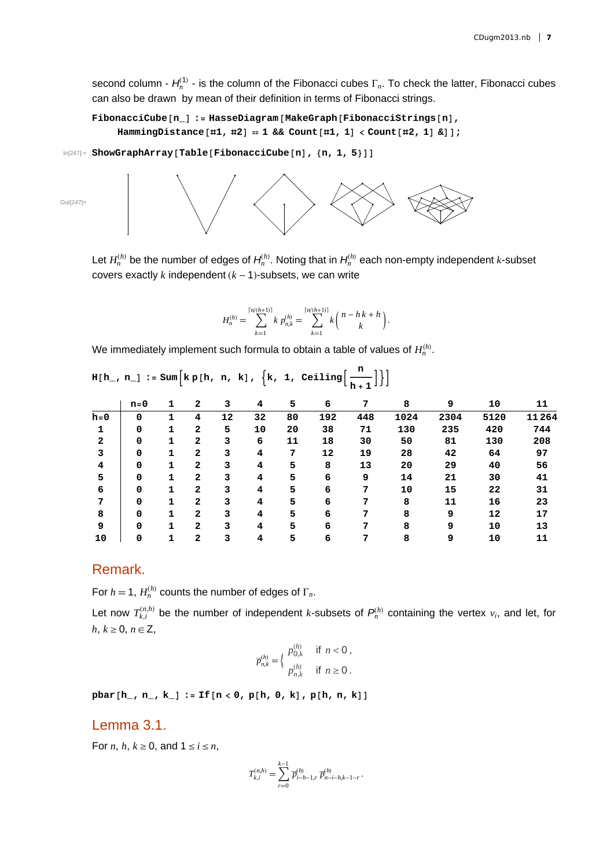second column -  $H_n^{(1)}$  - is the column of the Fibonacci cubes  $\Gamma_n$ . To check the latter, Fibonacci cubes can also be drawn by mean of their definition in terms of Fibonacci strings.

```
FibonacciCuben_ : HasseDiagramMakeGraphFibonacciStringsn,
\text{HammingDistance}[\#1, #2] = 1 \&\text{Count}[\#1, 1] < \text{Count}[\#2, 1] \&\text{]};
```

```
In[247]:= ShowGraphArrayTableFibonacciCuben, n, 1, 5
```
Out[247]=



Let  $H_n^{(h)}$  be the number of edges of  $H_n^{(h)}$ . Noting that in  $H_n^{(h)}$  each non-empty independent *k*-subset covers exactly  $k$  independent  $(k - 1)$ -subsets, we can write

$$
H_n^{(h)} = \sum_{k=1}^{\lceil n/(h+1) \rceil} k p_{n,k}^{(h)} = \sum_{k=1}^{\lceil n/(h+1) \rceil} k {n-hk+h \choose k}.
$$

We immediately implement such formula to obtain a table of values of  $H_n^{(h)}$ .

| $H[h_r, n_+] := Sum[kp[h, n, k], \{k, 1, Ceiling[\frac{n}{h+1}]\}]$ |             |              |                |    |    |    |     |     |      |      |      |       |
|---------------------------------------------------------------------|-------------|--------------|----------------|----|----|----|-----|-----|------|------|------|-------|
|                                                                     | $n=0$       | 1            | $\mathbf{2}$   | 3  | 4  | 5  | 6   | 7   | 8    | 9    | 10   | 11    |
| $h = 0$                                                             | 0           | 1            | 4              | 12 | 32 | 80 | 192 | 448 | 1024 | 2304 | 5120 | 11264 |
| 1                                                                   | 0           | $\mathbf{1}$ | $\mathbf{2}$   | 5  | 10 | 20 | 38  | 71  | 130  | 235  | 420  | 744   |
| $\mathbf{2}$                                                        | 0           | 1            | $\mathbf{2}$   | 3  | 6  | 11 | 18  | 30  | 50   | 81   | 130  | 208   |
| 3                                                                   | 0           | $\mathbf{1}$ | $\mathbf{2}$   | 3  | 4  | 7  | 12  | 19  | 28   | 42   | 64   | 97    |
| 4                                                                   | $\mathbf 0$ | 1            | $\mathbf{2}$   | 3  | 4  | 5  | 8   | 13  | 20   | 29   | 40   | 56    |
| 5                                                                   | 0           | 1            | $\mathbf{2}$   | 3  | 4  | 5  | 6   | 9   | 14   | 21   | 30   | 41    |
| 6                                                                   | 0           | 1            | $\mathbf{2}$   | 3  | 4  | 5  | 6   | 7   | 10   | 15   | 22   | 31    |
| 7                                                                   | 0           | 1            | $\mathbf{2}$   | 3  | 4  | 5  | 6   | 7   | 8    | 11   | 16   | 23    |
| 8                                                                   | $\mathbf 0$ | 1            | $\mathbf{2}$   | 3  | 4  | 5  | 6   | 7   | 8    | 9    | 12   | 17    |
| 9                                                                   | 0           | 1            | $\mathbf{2}$   | 3  | 4  | 5  | 6   | 7   | 8    | 9    | 10   | 13    |
| 10                                                                  | 0           | 1            | $\overline{a}$ | 3  | 4  | 5  | 6   | 7   | 8    | 9    | 10   | 11    |

#### Remark.

For  $h = 1$ ,  $H_n^{(h)}$  counts the number of edges of  $\Gamma_n$ .

Let now  $T_{k,i}^{(n,h)}$  be the number of independent *k*-subsets of  $P_n^{(h)}$  containing the vertex  $v_i$ , and let, for  $h, k \geq 0, n \in \mathbb{Z}$ ,

$$
\overline{p}_{n,k}^{(h)} = \begin{cases} p_{0,k}^{(h)} & \text{if } n < 0, \\ p_{n,k}^{(h)} & \text{if } n \ge 0. \end{cases}
$$

 $\text{pbar}[h, n, k] := \text{If}[n < 0, p[h, 0, k], p[h, n, k]$ 

#### Lemma 3.1.

For *n*, *h*,  $k \geq 0$ , and  $1 \leq i \leq n$ ,

$$
T_{k,i}^{(n,h)} = \sum_{r=0}^{k-1} \overline{p}_{i-h-1,r}^{(h)} \, \overline{p}_{n-i-h,k-1-r}^{(h)} \, .
$$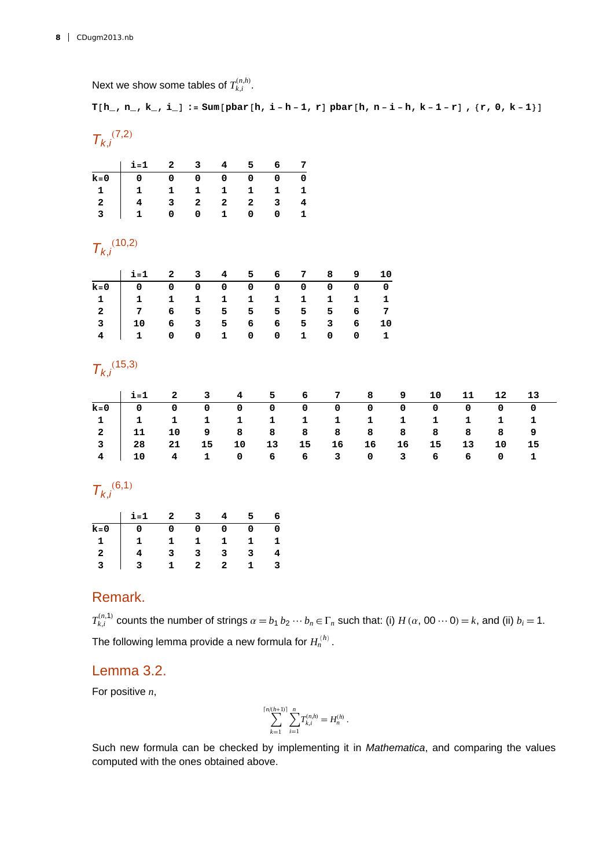Next we show some tables of  $T_{k,i}^{(n,h)}$ .

**T** $[h_1, n_2, k_1, i_1]$ : **Sum** $[{\text{pbar}}[h, i - h - 1, r]$   ${\text{pbar}}[h, n - i - h, k - 1 - r]$ ,  $\{r, 0, k - 1\}]$ 

### $T_{k,i}$ <sup>(7,2)</sup>

| 1. 1. 2 3 4 5 6 7 |  |  |  |
|-------------------|--|--|--|
|                   |  |  |  |
|                   |  |  |  |
|                   |  |  |  |
|                   |  |  |  |

### $T_{k,i}$ <sup>(10,2)</sup>

### $T_{k,i}$ <sup>(15,3)</sup>

| $i=1$ 2 3 4 5 6 7 8 9 10 11 12 13                        |  |  |  |  |  |       |  |
|----------------------------------------------------------|--|--|--|--|--|-------|--|
|                                                          |  |  |  |  |  |       |  |
| 1 1 1 1 1 1 1 1 1 1 1 1 1 1                              |  |  |  |  |  |       |  |
| 2   11 10 9 8 8 8 8 8 8 8 8 8 9                          |  |  |  |  |  |       |  |
| 3   28   21   15   10   13   15   16   16   16   15   13 |  |  |  |  |  | 10 15 |  |
| 4   10 4 1 0 6 6 3 0 3 6 6 0 1                           |  |  |  |  |  |       |  |

### $T_{k,i}^{(6,1)}$

|                | $i = 1$ | $\overline{2}$ | $\mathbf{3}$ | 4              | 5.           | 6 |
|----------------|---------|----------------|--------------|----------------|--------------|---|
| $k=0$          | - 0     | $\mathbf{0}$   | 0            | 0              | 0            | 0 |
|                |         | -1             |              | 1.             | 1.           | 1 |
| $\overline{2}$ |         |                | 3            |                | 3            | 4 |
|                |         | $\mathbf{1}$   | 2            | $\overline{2}$ | $\mathbf{1}$ | 3 |

#### Remark.

 $T_{k,i}^{(n,1)}$  counts the number of strings  $\alpha = b_1 b_2 \cdots b_n \in \Gamma_n$  such that: (i)  $H(\alpha, 00 \cdots 0) = k$ , and (ii)  $b_i = 1$ . The following lemma provide a new formula for  $H_n^{(h)}$ .

#### Lemma 3.2.

For positive *n*,

$$
\sum_{k=1}^{\lceil n/(h+1)\rceil} \sum_{i=1}^n T_{k,i}^{(n,h)} = H_n^{(h)}.
$$

Such new formula can be checked by implementing it in *Mathematica*, and comparing the values computed with the ones obtained above.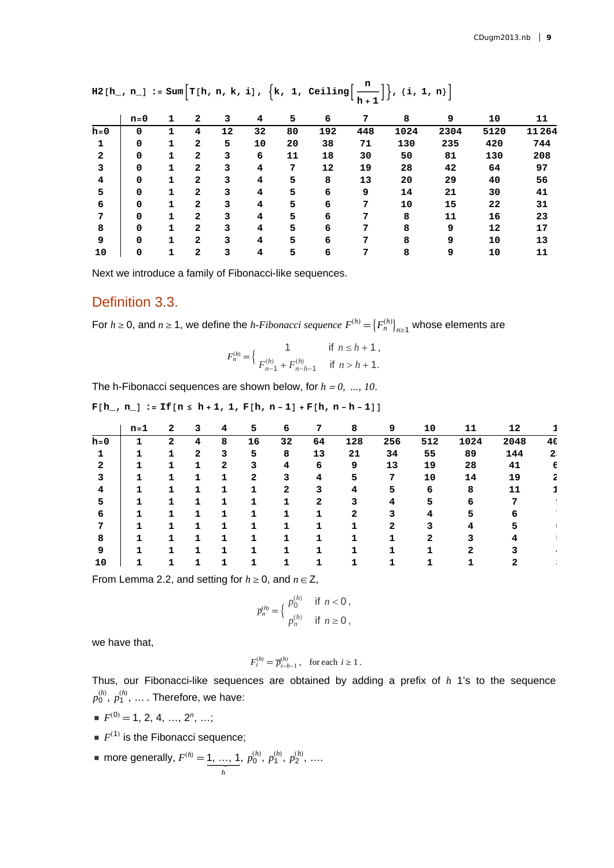|              |             |   |                |    |    |    | -n+1 - - |     |      |      |      |       |
|--------------|-------------|---|----------------|----|----|----|----------|-----|------|------|------|-------|
|              | $n=0$       | 1 | 2              | 3  | 4  | 5  | 6        | 7   | 8    | 9    | 10   | 11    |
| $h = 0$      | 0           |   | 4              | 12 | 32 | 80 | 192      | 448 | 1024 | 2304 | 5120 | 11264 |
| 1            | 0           | 1 | 2              | 5  | 10 | 20 | 38       | 71  | 130  | 235  | 420  | 744   |
| $\mathbf{2}$ | 0           | 1 | $\mathbf{2}$   | 3  | 6  | 11 | 18       | 30  | 50   | 81   | 130  | 208   |
| 3            | 0           | 1 | $\overline{a}$ | 3  | 4  | 7  | 12       | 19  | 28   | 42   | 64   | 97    |
| 4            | 0           | 1 | $\mathbf{2}$   | 3  | 4  | 5  | 8        | 13  | 20   | 29   | 40   | 56    |
| 5            | 0           | 1 | $\mathbf{2}$   | 3  | 4  | 5  | 6        | 9   | 14   | 21   | 30   | 41    |
| 6            | 0           |   | $\mathbf{2}$   | 3  | 4  | 5  | 6        | 7   | 10   | 15   | 22   | 31    |
| 7            | 0           | 1 | $\mathbf{2}$   | 3  | 4  | 5  | 6        | 7   | 8    | 11   | 16   | 23    |
| 8            | $\mathbf 0$ | 1 | $\mathbf{2}$   | 3  | 4  | 5  | 6        | 7   | 8    | 9    | 12   | 17    |
| 9            | 0           | 1 | $\overline{a}$ | 3  | 4  | 5  | 6        | 7   | 8    | 9    | 10   | 13    |
| 10           | 0           | 1 | $\overline{a}$ | 3  | 4  | 5  | 6        | 7   | 8    | 9    | 10   | 11    |

 $\texttt{H2[h_, n_.]} := \texttt{Sum}\Big[\texttt{T[h, n, k, i]}, \ \Big\{k, 1, \ \texttt{Ceiling}\Big[\frac{\texttt{n}}{\texttt{h+1}}\Big]\Big\}, \ \{i, 1, \texttt{n}\}\Big]$ 

Next we introduce a family of Fibonacci-like sequences.

#### Definition 3.3.

For  $h \ge 0$ , and  $n \ge 1$ , we define the *h-Fibonacci sequence*  $F^{(h)} = \{F^{(h)}_n\}_{n \ge 1}$  whose elements are

$$
F_n^{(h)} = \begin{cases} 1 & \text{if } n \le h+1, \\ F_{n-1}^{(h)} + F_{n-h-1}^{(h)} & \text{if } n > h+1. \end{cases}
$$

The h-Fibonacci sequences are shown below, for *h* <sup>=</sup> *0, ..., 10*.

| $F[h_1, n_]: = If [n \le h+1, 1, F[h, n-1] + F[h, n-h-1]]$ |  |
|------------------------------------------------------------|--|
|------------------------------------------------------------|--|

|       | n=1 | $\mathbf{2}$   | 3              | 4 | 5  | 6  | 7  | 8   | 9   | 10  | 11   | 12   |    |
|-------|-----|----------------|----------------|---|----|----|----|-----|-----|-----|------|------|----|
| $h=0$ | 1   | $\overline{2}$ | 4              | 8 | 16 | 32 | 64 | 128 | 256 | 512 | 1024 | 2048 | 40 |
|       |     |                | $\overline{2}$ | 3 | 5  | 8  | 13 | 21  | 34  | 55  | 89   | 144  | 2  |
| 2     |     |                |                | 2 | 3  | 4  | 6  | 9   | 13  | 19  | 28   | 41   | 6  |
| 3     |     |                |                | 7 | 2  | 3  | 4  | 5   | 7   | 10  | 14   | 19   |    |
| 4     | 1   | 1              |                |   |    | 2  |    | 4   | 5   | 6   | 8    | 11   |    |
| 5     |     |                |                | 1 |    |    | 2  | 3   | 4   | 5   | 6    |      |    |
| 6     | 1   |                |                | 1 |    |    |    | 2   | 3   | 4   | 5    | n    |    |
| 7     |     |                |                |   |    |    |    |     | 2   |     |      |      |    |
| 8     |     |                |                |   |    |    |    |     |     |     |      |      |    |
| 9     |     |                |                |   |    |    |    |     |     |     |      |      |    |
| 10    |     |                |                |   |    |    |    |     |     |     |      |      |    |

From Lemma 2.2, and setting for  $h \geq 0$ , and  $n \in \mathbb{Z}$ ,

$$
\overline{p}_n^{(h)} = \begin{cases} p_0^{(h)} & \text{if } n < 0, \\ p_n^{(h)} & \text{if } n \ge 0, \end{cases}
$$

*h*

we have that,

$$
F_i^{(h)} = \overline{p}_{i-h-1}^{(h)}, \text{ for each } i \ge 1.
$$

Thus, our Fibonacci-like sequences are obtained by adding a prefix of *h* 1's to the sequence  $p_0^{(h)}$ ,  $p_1^{(h)}$ , ... . Therefore, we have:

- $F^{(0)} = 1, 2, 4, ..., 2^n, ...;$
- $\blacksquare$   $F^{(1)}$  is the Fibonacci sequence;
- more generally,  $F^{(h)} = 1, ..., 1$ *h*  $p_0^{(h)}, p_1^{(h)}, p_2^{(h)}, \ldots$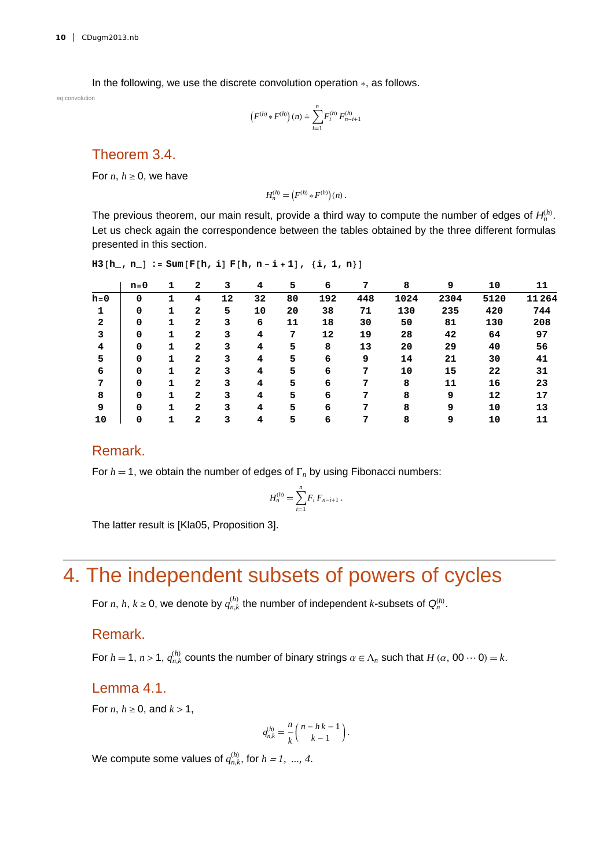In the following, we use the discrete convolution operation  $*$ , as follows.

eq:convolution

$$
(F^{(h)} * F^{(h)})(n) \doteq \sum_{i=1}^{n} F_i^{(h)} F_{n-i+1}^{(h)}
$$

Theorem 3.4.

For *n*,  $h \geq 0$ , we have

$$
H_n^{(h)} = (F^{(h)} * F^{(h)})(n).
$$

The previous theorem, our main result, provide a third way to compute the number of edges of *H<sup>n</sup> h* . Let us check again the correspondence between the tables obtained by the three different formulas presented in this section.

$$
H3[h_-, n_]: = Sum[F[h, i] F[h, n-i+1], {i, 1, n}]
$$

|         | $n = 0$ |   | 2            | 3  | 4  | 5  | 6   | 7   | 8    | 9    | 10   | 11    |
|---------|---------|---|--------------|----|----|----|-----|-----|------|------|------|-------|
| $h = 0$ | 0       |   | 4            | 12 | 32 | 80 | 192 | 448 | 1024 | 2304 | 5120 | 11264 |
|         | 0       |   | $\mathbf{2}$ | 5  | 10 | 20 | 38  | 71  | 130  | 235  | 420  | 744   |
| 2       | 0       | 1 | 2            | 3  | 6  | 11 | 18  | 30  | 50   | 81   | 130  | 208   |
| 3       | 0       | 1 | 2            | 3  | 4  | 7  | 12  | 19  | 28   | 42   | 64   | 97    |
| 4       | 0       | 1 | 2            | 3  | 4  | 5  | 8   | 13  | 20   | 29   | 40   | 56    |
| 5       | 0       |   | 2            | 3  | 4  | 5  | 6   | 9   | 14   | 21   | 30   | 41    |
| 6       | 0       |   | 2            | 3  | 4  | 5  | 6   | 7   | 10   | 15   | 22   | 31    |
| 7       | 0       |   | 2            | 3  | 4  | 5  | 6   | 7   | 8    | 11   | 16   | 23    |
| 8       | 0       |   | 2            | 3  | 4  | 5  | 6   | 7   | 8    | 9    | 12   | 17    |
| 9       | 0       |   | 2            | 3  | 4  | 5  | 6   |     | 8    | 9    | 10   | 13    |
| 10      | 0       |   | 2            |    | 4  | 5  | 6   | 7   | 8    | 9    | 10   | 11    |

#### Remark.

For  $h = 1$ , we obtain the number of edges of  $\Gamma_n$  by using Fibonacci numbers:

$$
H_n^{(h)} = \sum_{i=1}^n F_i F_{n-i+1} .
$$

The latter result is [Kla05, Proposition 3].

## 4. The independent subsets of powers of cycles

For *n*, *h*,  $k \ge 0$ , we denote by  $q_{n,k}^{(h)}$  the number of independent *k*-subsets of  $Q_n^{(h)}$ .

#### Remark.

For  $h = 1$ ,  $n > 1$ ,  $q_{n,k}^{(h)}$  counts the number of binary strings  $\alpha \in \Lambda_n$  such that  $H(\alpha, 00 \cdots 0) = k$ .

#### Lemma 4.1.

For *n*,  $h \geq 0$ , and  $k > 1$ ,

$$
q_{n,k}^{(h)} = \frac{n}{k} {n-hk-1 \choose k-1}.
$$

We compute some values of  $q_{n,k}^{(h)}$ , for  $h = 1, ..., 4$ .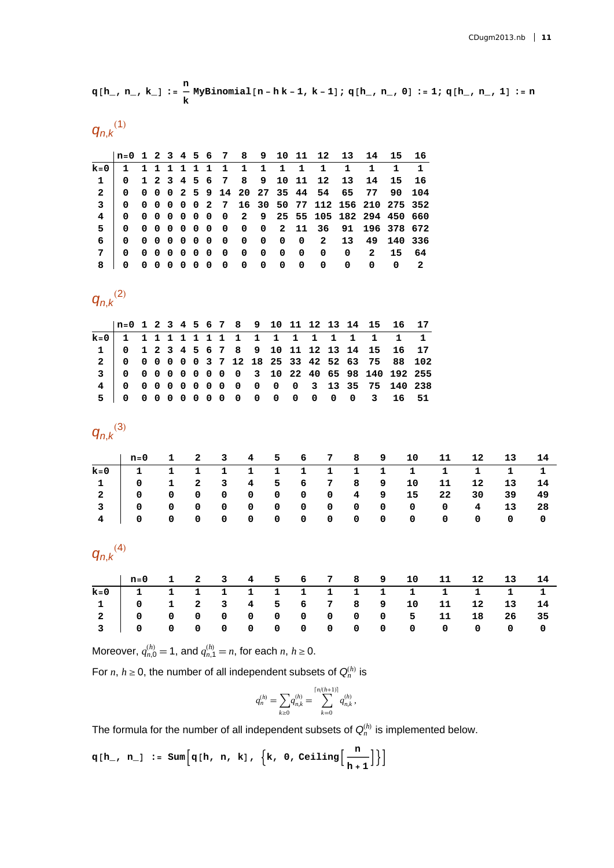$$
q[h_-, n_-, k_]: = \frac{n}{k} \text{MyBinomial}[n - h k - 1, k - 1]; q[h_-, n_-, 0] := 1; q[h_-, n_-, 1] := n
$$

 $q_{n,k}^{(1)}$ 

|              |                |  |  |  |                           |  |  |                   |              | n=0 1 2 3 4 5 6 7 8 9 10 11 12 13 14 15 16    |   |                         |
|--------------|----------------|--|--|--|---------------------------|--|--|-------------------|--------------|-----------------------------------------------|---|-------------------------|
| $k=0$        |                |  |  |  | 1 1 1 1 1 1 1 1 1 1 1 1 1 |  |  | 1                 | 1            |                                               |   |                         |
| $\mathbf{1}$ |                |  |  |  |                           |  |  |                   |              | 0 1 2 3 4 5 6 7 8 9 10 11 12 13 14 15 16      |   |                         |
| $\mathbf{2}$ | $\mathbf{0}$   |  |  |  |                           |  |  |                   |              | 0 0 0 2 5 9 14 20 27 35 44 54 65 77 90 104    |   |                         |
| $\mathbf{3}$ | $\overline{0}$ |  |  |  |                           |  |  |                   |              | 0 0 0 0 0 2 7 16 30 50 77 112 156 210 275 352 |   |                         |
|              | $\Omega$       |  |  |  |                           |  |  |                   |              | 0 0 0 0 0 0 0 2 9 25 55 105 182 294 450 660   |   |                         |
| 5            | $\Omega$       |  |  |  |                           |  |  |                   |              | 0 0 0 0 0 0 0 0 0 2 11 36 91 196 378 672      |   |                         |
| 6            | $\mathbf{0}$   |  |  |  |                           |  |  |                   |              | 0 0 0 0 0 0 0 0 0 0 0 0 2 13 49 140 336       |   |                         |
|              | 0              |  |  |  |                           |  |  |                   |              | 0 0 0 0 0 0 0 0 0 0 0 0 0 0 2 15 64           |   |                         |
|              | 0              |  |  |  | 0000000000                |  |  | $0\quad 0\quad 0$ | $\mathbf{0}$ | 0                                             | 0 | $\overline{\mathbf{2}}$ |

 $q_{n,k}^{(2)}$ 

|  |  |  |  |  |  |  |  | $\ln=0$ 1 2 3 4 5 6 7 8 9 10 11 12 13 14 15 16 17 |  |
|--|--|--|--|--|--|--|--|---------------------------------------------------|--|
|  |  |  |  |  |  |  |  |                                                   |  |
|  |  |  |  |  |  |  |  | 1 0 1 2 3 4 5 6 7 8 9 10 11 12 13 14 15 16 17     |  |
|  |  |  |  |  |  |  |  | 2 0 0 0 0 0 0 3 7 12 18 25 33 42 52 63 75 88 102  |  |
|  |  |  |  |  |  |  |  | 3 0 0 0 0 0 0 0 0 0 3 10 22 40 65 98 140 192 255  |  |
|  |  |  |  |  |  |  |  | 4 0 0 0 0 0 0 0 0 0 0 0 0 3 13 35 75 140 238      |  |
|  |  |  |  |  |  |  |  | 50000000000000000031651                           |  |

*qn*,*<sup>k</sup>* 3

| n=0 1 2 3 4 5 6 7 8 9 10 11 12 13 14                                                                                             |  |  |  |  |  |  |  |
|----------------------------------------------------------------------------------------------------------------------------------|--|--|--|--|--|--|--|
|                                                                                                                                  |  |  |  |  |  |  |  |
| $1 \quad 0 \quad 1 \quad 2 \quad 3 \quad 4 \quad 5 \quad 6 \quad 7 \quad 8 \quad 9 \quad 10 \quad 11 \quad 12 \quad 13 \quad 14$ |  |  |  |  |  |  |  |
| 2 0 0 0 0 0 0 0 0 4 9 15 22 30 39 49                                                                                             |  |  |  |  |  |  |  |
| 3   0 0 0 0 0 0 0 0 0 0 0 0 0 4 13 28                                                                                            |  |  |  |  |  |  |  |
|                                                                                                                                  |  |  |  |  |  |  |  |

*qn*,*<sup>k</sup>* 4

| $\ln 50$ 1 2 3 4 5 6 7 8 9 10 11 12 13 14     |  |  |  |  |  |  |  |
|-----------------------------------------------|--|--|--|--|--|--|--|
| <u>k</u> =0 1 1 1 1 1 1 1 1 1 1 1 1 1 1 1 1 1 |  |  |  |  |  |  |  |
|                                               |  |  |  |  |  |  |  |
|                                               |  |  |  |  |  |  |  |
|                                               |  |  |  |  |  |  |  |

Moreover,  $q_{n,0}^{(h)} = 1$ , and  $q_{n,1}^{(h)} = n$ , for each  $n, h \ge 0$ .

For *n*,  $h \geq 0$ , the number of all independent subsets of  $Q_n^{(h)}$  is

$$
q_n^{(h)} = \sum_{k \geq 0} q_{n,k}^{(h)} = \sum_{k=0}^{\lceil n/(h+1) \rceil} q_{n,k}^{(h)},
$$

The formula for the number of all independent subsets of  $\mathsf{Q}_n^{(h)}$  is implemented below.

 $q[h_1, n_1] := \text{Sum}\Big[q[h, n, k], \{k, 0, \text{Ceiling}\Big[\frac{n}{h+1}\Big]\}\Big]$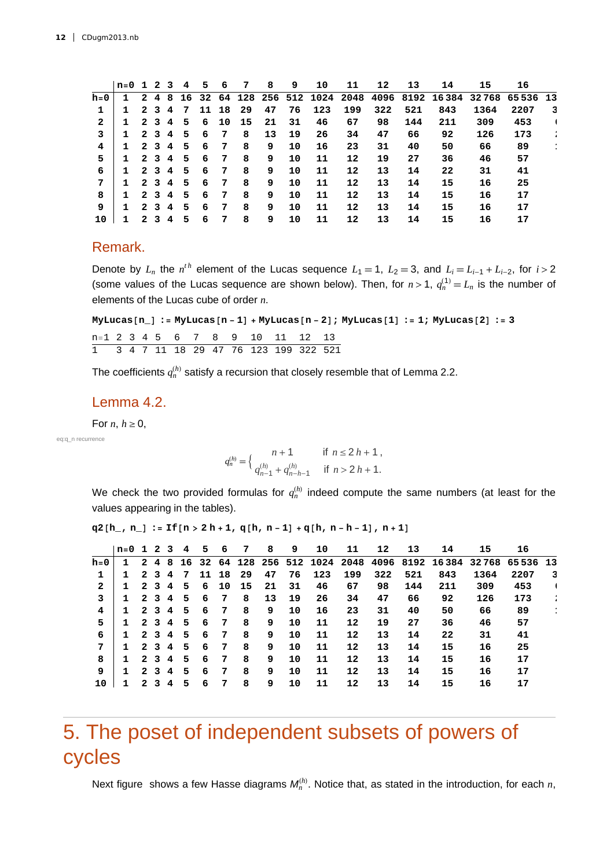|     | $n=0$ 1 2 3 |   |                         |                | -4  | 5. | 6     | 7    | 8  | 9  | 10  | 11  | 12  | 13  | 14                                                         | 15   | 16   |   |
|-----|-------------|---|-------------------------|----------------|-----|----|-------|------|----|----|-----|-----|-----|-----|------------------------------------------------------------|------|------|---|
| h=0 | 1           | 2 | 4                       | 8              | 16  |    |       |      |    |    |     |     |     |     | 32 64 128 256 512 1024 2048 4096 8192 16384 32768 65536 13 |      |      |   |
| 1   | 1           |   | 2 <sub>3</sub>          | 4              | -7  |    | 11 18 | - 29 | 47 | 76 | 123 | 199 | 322 | 521 | 843                                                        | 1364 | 2207 | 3 |
| 2   | 1           |   | 2 3                     | 4              | - 5 | 6  | 10    | 15   | 21 | 31 | 46  | 67  | 98  | 144 | 211                                                        | 309  | 453  |   |
| 3   | 1           |   | 2 3                     | $\overline{4}$ | - 5 | 6  | 7     | 8    | 13 | 19 | 26  | 34  | 47  | 66  | 92                                                         | 126  | 173  |   |
| 4   | 1           |   | 2 3                     | 4              | - 5 | 6  | 7     | 8    | 9  | 10 | 16  | 23  | 31  | 40  | 50                                                         | 66   | 89   |   |
| 5   | 1           | 2 | $\overline{\mathbf{3}}$ | $\overline{4}$ | - 5 | 6  | 7     | 8    | 9  | 10 | 11  | 12  | 19  | 27  | 36                                                         | 46   | 57   |   |
| 6   | 1           |   | 2 3                     | $\overline{4}$ | - 5 | 6  | 7     | 8    | 9  | 10 | 11  | 12  | 13  | 14  | 22                                                         | 31   | 41   |   |
| 7   | 1           |   | 2 3                     | 4              | - 5 | 6  | 7     | 8    | 9  | 10 | 11  | 12  | 13  | 14  | 15                                                         | 16   | 25   |   |
| 8   | 1           |   | 2 3                     | 4              | - 5 | 6  | 7     | 8    | 9  | 10 | 11  | 12  | 13  | 14  | 15                                                         | 16   | 17   |   |
| 9   | 1           | 2 | $\mathbf{3}$            | 4              | .5  | 6  | 7     | 8    | 9  | 10 | 11  | 12  | 13  | 14  | 15                                                         | 16   | 17   |   |
| 10  | 1           | 2 | 3                       | 4              | -5  | 6  | 7     | 8    | 9  | 10 | 11  | 12  | 13  | 14  | 15                                                         | 16   | 17   |   |

#### Remark.

Denote by  $L_n$  the  $n^{th}$  element of the Lucas sequence  $L_1 = 1$ ,  $L_2 = 3$ , and  $L_i = L_{i-1} + L_{i-2}$ , for  $i > 2$ (some values of the Lucas sequence are shown below). Then, for  $n > 1$ ,  $q_n^{(1)} = L_n$  is the number of elements of the Lucas cube of order *n*.

 $MyLucas[n_] := MyLucas[n-1] + MyLucas[n-2]$ ;  $MyLucas[1] := 1$ ;  $MyLucas[2] := 3$ n1 2 3 4 5 6 7 8 9 10 11 12 13 1 3 4 7 11 18 29 47 76 123 199 322 521

The coefficients  $q_n^{(h)}$  satisfy a recursion that closely resemble that of Lemma 2.2.

#### Lemma 4.2.

For *n*,  $h \geq 0$ ,

eq:q\_n recurrence

$$
q_n^{(h)} = \begin{cases} n+1 & \text{if } n \le 2 \, h+1, \\ q_{n-1}^{(h)} + q_{n-h-1}^{(h)} & \text{if } n > 2 \, h+1. \end{cases}
$$

We check the two provided formulas for  $q_n^{(h)}$  indeed compute the same numbers (at least for the values appearing in the tables).

 $q2[h, n] := If[n > 2h + 1, q[h, n-1] + q[h, n-h-1], n+1]$ 

|       | $n=0$ 1 2 3 |              |                         |   | 4  | 5 | 6     | 7    | 8  | 9  | 10  | 11  | 12  | 13  | 14                                                            | 15   | 16   |   |
|-------|-------------|--------------|-------------------------|---|----|---|-------|------|----|----|-----|-----|-----|-----|---------------------------------------------------------------|------|------|---|
| $h=0$ | 1           | 2            | 48                      |   |    |   |       |      |    |    |     |     |     |     | 16 32 64 128 256 512 1024 2048 4096 8192 16384 32768 65536 13 |      |      |   |
| 1     | 1           | 2            | $\overline{\mathbf{3}}$ | 4 | 7  |   | 11 18 | - 29 | 47 | 76 | 123 | 199 | 322 | 521 | 843                                                           | 1364 | 2207 | 3 |
| 2     | 1           | 2            | $\overline{\mathbf{3}}$ | 4 | 5. | 6 | 10    | - 15 | 21 | 31 | 46  | 67  | 98  | 144 | 211                                                           | 309  | 453  |   |
| 3     | 1           | 2            | $\overline{\mathbf{3}}$ | 4 | 5  | 6 | 7     | 8    | 13 | 19 | 26  | 34  | 47  | 66  | 92                                                            | 126  | 173  |   |
| 4     | 1           |              | 2 <sub>3</sub>          | 4 | 5  | 6 | 7     | 8    | 9  | 10 | 16  | 23  | 31  | 40  | 50                                                            | 66   | 89   | ÷ |
| 5     | 1           | 2            | 3                       | 4 | 5  | 6 | 7     | 8    | 9  | 10 | 11  | 12  | 19  | 27  | 36                                                            | 46   | 57   |   |
| 6     | 1           | 2            | 3                       | 4 | 5  | 6 | 7     | 8    | 9  | 10 | 11  | 12  | 13  | 14  | 22                                                            | 31   | 41   |   |
| 7     | 1           | $\mathbf{2}$ | $\overline{\mathbf{3}}$ | 4 | 5  | 6 | 7     | 8    | 9  | 10 | 11  | 12  | 13  | 14  | 15                                                            | 16   | 25   |   |
| 8     | 1           |              | 2 3                     | 4 | 5  | 6 | 7     | 8    | 9  | 10 | 11  | 12  | 13  | 14  | 15                                                            | 16   | 17   |   |
| 9     |             | 2            | $\mathbf{3}$            | 4 | 5  | 6 | 7     | 8    | 9  | 10 | 11  | 12  | 13  | 14  | 15                                                            | 16   | 17   |   |
| 10    |             | 2            | з                       | 4 | 5  | 6 | 7     | 8    | 9  | 10 | 11  | 12  | 13  | 14  | 15                                                            | 16   | 17   |   |

### 5. The poset of independent subsets of powers of cycles

Next figure shows a few Hasse diagrams  $M_n^{(h)}$ . Notice that, as stated in the introduction, for each *n*,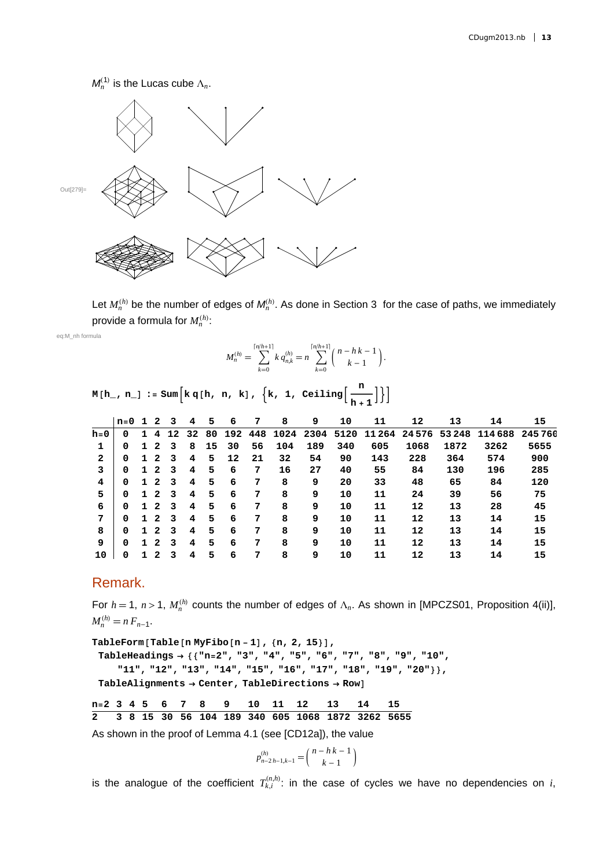$M_n^{(1)}$  is the Lucas cube  $\Lambda_n$ .



Let  $M_n^{(h)}$  be the number of edges of  $M_n^{(h)}$ . As done in Section 3 for the case of paths, we immediately provide a formula for  $M_n^{(h)}$ :

eq:M\_nh formula

$$
M_n^{(h)} = \sum_{k=0}^{\lceil n/h+1 \rceil} k q_{n,k}^{(h)} = n \sum_{k=0}^{\lceil n/h+1 \rceil} {n-hk-1 \choose k-1}.
$$

|  | $M[h_1, n_1] := Sum\Big[k q[h, n, k], \{k, 1, Ceiling\Big[\frac{n}{h+1}\Big]\Big\}\Big]$ |
|--|------------------------------------------------------------------------------------------|
|  |                                                                                          |

|         | $n=0$ |   | 2 | 3  | 4  | 5  | 6   | 7   | 8    | 9    | 10   | 11     | 12       | 13    | 14      | 15     |
|---------|-------|---|---|----|----|----|-----|-----|------|------|------|--------|----------|-------|---------|--------|
| $h = 0$ | 0     |   | 4 | 12 | 32 | 80 | 192 | 448 | 1024 | 2304 | 5120 | 11 264 | 24 5 7 6 | 53248 | 114 688 | 245760 |
| 1       | 0     |   | 2 | 3  | 8  | 15 | 30  | 56  | 104  | 189  | 340  | 605    | 1068     | 1872  | 3262    | 5655   |
| 2       | 0     | 1 | 2 | 3  | 4  | 5  | 12  | 21  | 32   | 54   | 90   | 143    | 228      | 364   | 574     | 900    |
| 3       | 0     | 1 | 2 | 3  | 4  | 5  | 6   | 7   | 16   | 27   | 40   | 55     | 84       | 130   | 196     | 285    |
| 4       | 0     | 1 | 2 | 3  | 4  | 5  | 6   | 7   | 8    | 9    | 20   | 33     | 48       | 65    | 84      | 120    |
| 5       | 0     |   | 2 | 3  | 4  | 5  | 6   | 7   | 8    | 9    | 10   | 11     | 24       | 39    | 56      | 75     |
| 6       | 0     | 1 | 2 | 3  | 4  | 5  | 6   | 7   | 8    | 9    | 10   | 11     | 12       | 13    | 28      | 45     |
| 7       | 0     |   | 2 | 3  | 4  | 5  | 6   | 7   | 8    | 9    | 10   | 11     | 12       | 13    | 14      | 15     |
| 8       | 0     |   | 2 | 3  | 4  | 5  | 6   | 7   | 8    | 9    | 10   | 11     | 12       | 13    | 14      | 15     |
| 9       | 0     |   | 2 | 3  | 4  | 5  | 6   | 7   | 8    | 9    | 10   | 11     | 12       | 13    | 14      | 15     |
| 10      | 0     |   | 2 | 3  | 4  | 5  | 6   | 7   | 8    | 9    | 10   | 11     | 12       | 13    | 14      | 15     |

#### Remark.

For  $h = 1$ ,  $n > 1$ ,  $M_n^{(h)}$  counts the number of edges of  $\Lambda_n$ . As shown in [MPCZS01, Proposition 4(ii)],  $M_n^{(h)} = n F_{n-1}.$ 

**TableFormTablen MyFibo<sup>n</sup> <sup>1</sup>, n, 2, 15, TableHeadings "n2", "3", "4", "5", "6", "7", "8", "9", "10", "11", "12", "13", "14", "15", "16", "17", "18", "19", "20", TableAlignments Center, TableDirections Row**

**n2 3 4 5 6 7 8 9 10 11 12 13 14 15 2 3 8 15 30 56 104 189 340 605 1068 1872 3262 5655**

As shown in the proof of Lemma 4.1 (see [CD12a]), the value

$$
p_{n-2h-1,k-1}^{(h)} = \binom{n-h\,k-1}{k-1}
$$

is the analogue of the coefficient  $T_{k,i}^{(n,h)}$ : in the case of cycles we have no dependencies on *i*,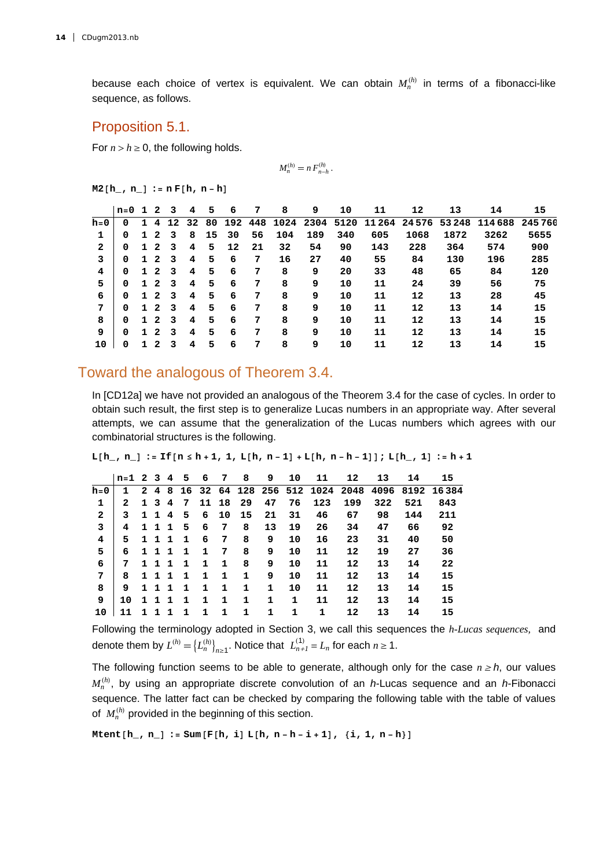because each choice of vertex is equivalent. We can obtain  $M_n^{(h)}$  in terms of a fibonacci-like sequence, as follows.

#### Proposition 5.1.

For  $n > h \geq 0$ , the following holds.

$$
M_n^{(h)} = n F_{n-h}^{(h)}.
$$

 $M2[h, n] := nF[h, n-h]$ 

|         | $n=0$ | $\mathbf{1}$ | 2              | 3  | 4  | 5  | 6       | 7  | 8    | 9    | 10   | 11            | 12   | 13    | 14      | 15     |
|---------|-------|--------------|----------------|----|----|----|---------|----|------|------|------|---------------|------|-------|---------|--------|
| $h = 0$ | 0     |              | 4              | 12 | 32 | 80 | 192 448 |    | 1024 | 2304 | 5120 | 11 264 24 576 |      | 53248 | 114 688 | 245760 |
|         | 0     |              | $\mathbf{2}$   | 3  | 8  | 15 | 30      | 56 | 104  | 189  | 340  | 605           | 1068 | 1872  | 3262    | 5655   |
| 2       | 0     | 1            | 2              | 3  | 4  | 5  | 12      | 21 | 32   | 54   | 90   | 143           | 228  | 364   | 574     | 900    |
| 3       | 0     | 1            | $\mathbf{2}$   | 3  | 4  | 5  | 6       | 7  | 16   | 27   | 40   | 55            | 84   | 130   | 196     | 285    |
| 4       | 0     | 1            | $\overline{2}$ | 3  | 4  | 5  | 6       | 7  | 8    | 9    | 20   | 33            | 48   | 65    | 84      | 120    |
| 5       | 0     | 1            | $\overline{2}$ | 3  | 4  | 5  | 6       | 7  | 8    | 9    | 10   | 11            | 24   | 39    | 56      | 75     |
| 6       | 0     | 1            | $\mathbf{2}$   | 3  | 4  | 5  | 6       | 7  | 8    | 9    | 10   | 11            | 12   | 13    | 28      | 45     |
| 7       | 0     | 1            | $\mathbf{2}$   | 3  | 4  | 5  | 6       | 7  | 8    | 9    | 10   | 11            | 12   | 13    | 14      | 15     |
| 8       | 0     | 1            | 2              | 3  | 4  | 5  | 6       | 7  | 8    | 9    | 10   | 11            | 12   | 13    | 14      | 15     |
| 9       | 0     |              | 2              | 3  | 4  | 5  | 6       | 7  | 8    | 9    | 10   | 11            | 12   | 13    | 14      | 15     |
| 10      | 0     |              | 2              | 3  | 4  | 5  | 6       | 7  | 8    | 9    | 10   | 11            | 12   | 13    | 14      | 15     |

#### Toward the analogous of Theorem 3.4.

In [CD12a] we have not provided an analogous of the Theorem 3.4 for the case of cycles. In order to obtain such result, the first step is to generalize Lucas numbers in an appropriate way. After several attempts, we can assume that the generalization of the Lucas numbers which agrees with our combinatorial structures is the following.

 $L[h_1, n_1] := H[n \leq h+1, 1, L[h, n-1] + L[h, n-h-1]]; L[h_1, 1] := h+1$ 

|              | $n=1$ 2 3 4  |  |       | 5.           | 6           | -7 | 8          | 9            | 10 | 11  | 12                | 13  | 14  | 15                                                   |
|--------------|--------------|--|-------|--------------|-------------|----|------------|--------------|----|-----|-------------------|-----|-----|------------------------------------------------------|
| h=0          | $\mathbf{1}$ |  |       |              |             |    |            |              |    |     |                   |     |     | 2 4 8 16 32 64 128 256 512 1024 2048 4096 8192 16384 |
| 1            | $\mathbf{2}$ |  | 1 3 4 |              |             |    | 7 11 18 29 | 47           | 76 | 123 | 199               | 322 | 521 | 843                                                  |
| $\mathbf{2}$ | 3            |  |       | 1 1 4 5      |             |    | 6 10 15    | 21           | 31 | 46  | 67                | 98  | 144 | 211                                                  |
| 3            | 4            |  |       | 1 1 1 5      | 6           | -7 | 8          | 13           | 19 | 26  | 34                | 47  | 66  | 92                                                   |
| 4            | 5.           |  |       | 1 1 1 1      | 6           | 7  | 8          | 9            | 10 | 16  | 23                | 31  | 40  | 50                                                   |
| 5.           | 6            |  |       | 1 1 1 1      | 1           | 7  | 8          | 9            | 10 | 11  | 12                | 19  | 27  | 36                                                   |
| 6            | 7            |  |       | 1 1 1 1      | $\mathbf 1$ | 1  | 8          | 9            | 10 | 11  | 12                | 13  | 14  | 22                                                   |
| 7            | 8            |  |       | 1 1 1 1      | 1           | 1  | 1          | 9            | 10 | 11  | $12 \overline{ }$ | 13  | 14  | 15                                                   |
| 8            | 9.           |  | 111   | $\mathbf{1}$ | $\mathbf 1$ | 1  | 1          | $\mathbf{1}$ | 10 | 11  | $12 \overline{ }$ | 13  | 14  | 15                                                   |
| 9            | 10           |  |       | 1 1 1 1      | 1           | 1  | 1          | 1            | 1  | 11  | $12 \overline{ }$ | 13  | 14  | 15                                                   |
| 10           | 11           |  | 1 1 1 | $\mathbf{1}$ | 1           | 1  | 1          | 1.           | 1  | 1   | 12                | 13  | 14  | 15                                                   |
|              |              |  |       |              |             |    |            |              |    |     |                   |     |     |                                                      |

Following the terminology adopted in Section 3, we call this sequences the *h-Lucas sequences,* and denote them by  $L^{(h)} = \left\{ L_n^{(h)} \right\}_{n \geq 1}$ . Notice that  $L_{n+1}^{(1)} = L_n$  for each  $n \geq 1$ .

The following function seems to be able to generate, although only for the case  $n \geq h$ , our values  $M_n^{(h)}$ , by using an appropriate discrete convolution of an *h*-Lucas sequence and an *h*-Fibonacci sequence. The latter fact can be checked by comparing the following table with the table of values of  $M_n^{(h)}$  provided in the beginning of this section.

 $M$ tent $[h_1, n_1] := Sum[F[h, i] L[h, n-h-i+1], {i, 1, n-h}]$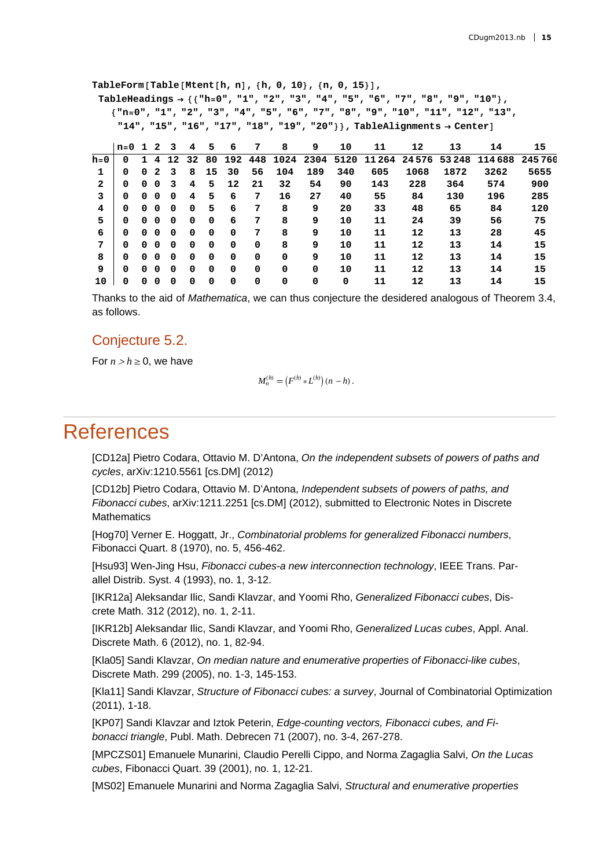**TableFormTableMtenth, n, h, 0, 10, n, 0, 15, TableHeadings "h0", "1", "2", "3", "4", "5", "6", "7", "8", "9", "10", "n0", "1", "2", "3", "4", "5", "6", "7", "8", "9", "10", "11", "12", "13", "14", "15", "16", "17", "18", "19", "20", TableAlignments Center n0 1 2 3 4 5 6 7 8 9 10 11 12 13 14 15 h0 0 1 4 12 32 80 192 448 1024 2304 5120 11 264 24 576 53 248 114 688 245 760 1 0 0 2 3 8 15 30 56 104 189 340 605 1068 1872 3262 5655 2 0 0 0 3 4 5 12 21 32 54 90 143 228 364 574 900 3 0 0 0 0 4 5 6 7 16 27 40 55 84 130 196 285 4 0 0 0 0 0 5 6 7 8 9 20 33 48 65 84 120 5 0 0 0 0 0 0 6 7 8 9 10 11 24 39 56 75 6 0 0 0 0 0 0 0 7 8 9 10 11 12 13 28 45 7 0 0 0 0 0 0 0 0 8 9 10 11 12 13 14 15 8 0 0 0 0 0 0 0 0 0 9 10 11 12 13 14 15 9 0 0 0 0 0 0 0 0 0 0 10 11 12 13 14 15**

Thanks to the aid of *Mathematica*, we can thus conjecture the desidered analogous of Theorem 3.4, as follows.

**10 0 0 0 0 0 0 0 0 0 0 0 11 12 13 14 15**

#### Conjecture 5.2.

For  $n > h \geq 0$ , we have

$$
M_n^{(h)} = (F^{(h)} * L^{(h)}) (n - h).
$$

### **References**

[CD12a] Pietro Codara, Ottavio M. D'Antona, *On the independent subsets of powers of paths and cycles*, arXiv:1210.5561 [cs.DM] (2012)

[CD12b] Pietro Codara, Ottavio M. D'Antona, *Independent subsets of powers of paths, and Fibonacci cubes*, arXiv:1211.2251 [cs.DM] (2012), submitted to Electronic Notes in Discrete **Mathematics** 

[Hog70] Verner E. Hoggatt, Jr., *Combinatorial problems for generalized Fibonacci numbers*, Fibonacci Quart. 8 (1970), no. 5, 456-462.

[Hsu93] Wen-Jing Hsu, *Fibonacci cubes-a new interconnection technology*, IEEE Trans. Parallel Distrib. Syst. 4 (1993), no. 1, 3-12.

[IKR12a] Aleksandar Ilic, Sandi Klavzar, and Yoomi Rho, *Generalized Fibonacci cubes*, Discrete Math. 312 (2012), no. 1, 2-11.

[IKR12b] Aleksandar Ilic, Sandi Klavzar, and Yoomi Rho, *Generalized Lucas cubes*, Appl. Anal. Discrete Math. 6 (2012), no. 1, 82-94.

[Kla05] Sandi Klavzar, *On median nature and enumerative properties of Fibonacci-like cubes*, Discrete Math. 299 (2005), no. 1-3, 145-153.

[Kla11] Sandi Klavzar, *Structure of Fibonacci cubes: a survey*, Journal of Combinatorial Optimization (2011), 1-18.

[KP07] Sandi Klavzar and Iztok Peterin, *Edge-counting vectors, Fibonacci cubes, and Fibonacci triangle*, Publ. Math. Debrecen 71 (2007), no. 3-4, 267-278.

[MPCZS01] Emanuele Munarini, Claudio Perelli Cippo, and Norma Zagaglia Salvi, *On the Lucas cubes*, Fibonacci Quart. 39 (2001), no. 1, 12-21.

[MS02] Emanuele Munarini and Norma Zagaglia Salvi, *Structural and enumerative properties*